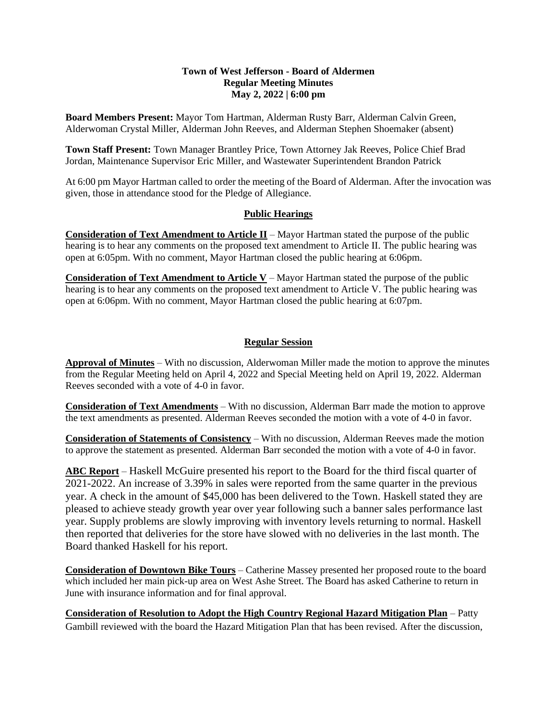## **Town of West Jefferson - Board of Aldermen Regular Meeting Minutes May 2, 2022 | 6:00 pm**

**Board Members Present:** Mayor Tom Hartman, Alderman Rusty Barr, Alderman Calvin Green, Alderwoman Crystal Miller, Alderman John Reeves, and Alderman Stephen Shoemaker (absent)

**Town Staff Present:** Town Manager Brantley Price, Town Attorney Jak Reeves, Police Chief Brad Jordan, Maintenance Supervisor Eric Miller, and Wastewater Superintendent Brandon Patrick

At 6:00 pm Mayor Hartman called to order the meeting of the Board of Alderman. After the invocation was given, those in attendance stood for the Pledge of Allegiance.

## **Public Hearings**

**Consideration of Text Amendment to Article II** – Mayor Hartman stated the purpose of the public hearing is to hear any comments on the proposed text amendment to Article II. The public hearing was open at 6:05pm. With no comment, Mayor Hartman closed the public hearing at 6:06pm.

**Consideration of Text Amendment to Article V** – Mayor Hartman stated the purpose of the public hearing is to hear any comments on the proposed text amendment to Article V. The public hearing was open at 6:06pm. With no comment, Mayor Hartman closed the public hearing at 6:07pm.

## **Regular Session**

**Approval of Minutes** – With no discussion, Alderwoman Miller made the motion to approve the minutes from the Regular Meeting held on April 4, 2022 and Special Meeting held on April 19, 2022. Alderman Reeves seconded with a vote of 4-0 in favor.

**Consideration of Text Amendments** – With no discussion, Alderman Barr made the motion to approve the text amendments as presented. Alderman Reeves seconded the motion with a vote of 4-0 in favor.

**Consideration of Statements of Consistency** – With no discussion, Alderman Reeves made the motion to approve the statement as presented. Alderman Barr seconded the motion with a vote of 4-0 in favor.

**ABC Report** – Haskell McGuire presented his report to the Board for the third fiscal quarter of 2021-2022. An increase of 3.39% in sales were reported from the same quarter in the previous year. A check in the amount of \$45,000 has been delivered to the Town. Haskell stated they are pleased to achieve steady growth year over year following such a banner sales performance last year. Supply problems are slowly improving with inventory levels returning to normal. Haskell then reported that deliveries for the store have slowed with no deliveries in the last month. The Board thanked Haskell for his report.

**Consideration of Downtown Bike Tours** – Catherine Massey presented her proposed route to the board which included her main pick-up area on West Ashe Street. The Board has asked Catherine to return in June with insurance information and for final approval.

**Consideration of Resolution to Adopt the High Country Regional Hazard Mitigation Plan** – Patty Gambill reviewed with the board the Hazard Mitigation Plan that has been revised. After the discussion,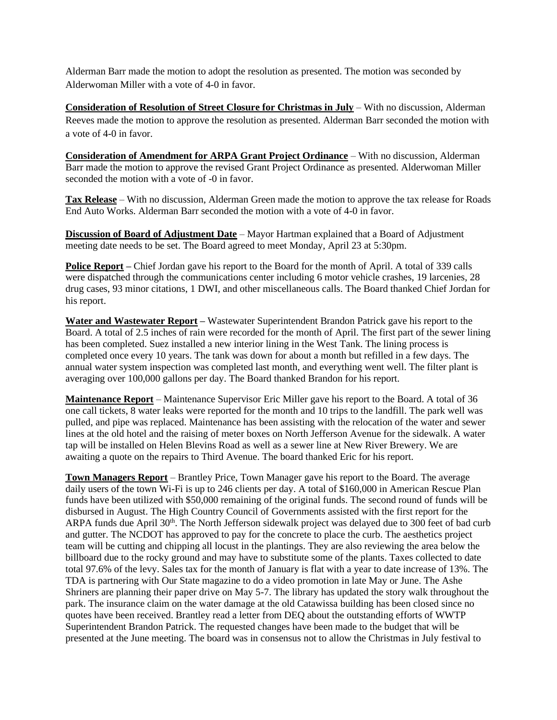Alderman Barr made the motion to adopt the resolution as presented. The motion was seconded by Alderwoman Miller with a vote of 4-0 in favor.

**Consideration of Resolution of Street Closure for Christmas in July** – With no discussion, Alderman Reeves made the motion to approve the resolution as presented. Alderman Barr seconded the motion with a vote of 4-0 in favor.

**Consideration of Amendment for ARPA Grant Project Ordinance** – With no discussion, Alderman Barr made the motion to approve the revised Grant Project Ordinance as presented. Alderwoman Miller seconded the motion with a vote of -0 in favor.

**Tax Release** – With no discussion, Alderman Green made the motion to approve the tax release for Roads End Auto Works. Alderman Barr seconded the motion with a vote of 4-0 in favor.

**Discussion of Board of Adjustment Date** – Mayor Hartman explained that a Board of Adjustment meeting date needs to be set. The Board agreed to meet Monday, April 23 at 5:30pm.

**Police Report –** Chief Jordan gave his report to the Board for the month of April. A total of 339 calls were dispatched through the communications center including 6 motor vehicle crashes, 19 larcenies, 28 drug cases, 93 minor citations, 1 DWI, and other miscellaneous calls. The Board thanked Chief Jordan for his report.

**Water and Wastewater Report –** Wastewater Superintendent Brandon Patrick gave his report to the Board. A total of 2.5 inches of rain were recorded for the month of April. The first part of the sewer lining has been completed. Suez installed a new interior lining in the West Tank. The lining process is completed once every 10 years. The tank was down for about a month but refilled in a few days. The annual water system inspection was completed last month, and everything went well. The filter plant is averaging over 100,000 gallons per day. The Board thanked Brandon for his report.

**Maintenance Report** – Maintenance Supervisor Eric Miller gave his report to the Board. A total of 36 one call tickets, 8 water leaks were reported for the month and 10 trips to the landfill. The park well was pulled, and pipe was replaced. Maintenance has been assisting with the relocation of the water and sewer lines at the old hotel and the raising of meter boxes on North Jefferson Avenue for the sidewalk. A water tap will be installed on Helen Blevins Road as well as a sewer line at New River Brewery. We are awaiting a quote on the repairs to Third Avenue. The board thanked Eric for his report.

**Town Managers Report** – Brantley Price, Town Manager gave his report to the Board. The average daily users of the town Wi-Fi is up to 246 clients per day. A total of \$160,000 in American Rescue Plan funds have been utilized with \$50,000 remaining of the original funds. The second round of funds will be disbursed in August. The High Country Council of Governments assisted with the first report for the ARPA funds due April 30<sup>th</sup>. The North Jefferson sidewalk project was delayed due to 300 feet of bad curb and gutter. The NCDOT has approved to pay for the concrete to place the curb. The aesthetics project team will be cutting and chipping all locust in the plantings. They are also reviewing the area below the billboard due to the rocky ground and may have to substitute some of the plants. Taxes collected to date total 97.6% of the levy. Sales tax for the month of January is flat with a year to date increase of 13%. The TDA is partnering with Our State magazine to do a video promotion in late May or June. The Ashe Shriners are planning their paper drive on May 5-7. The library has updated the story walk throughout the park. The insurance claim on the water damage at the old Catawissa building has been closed since no quotes have been received. Brantley read a letter from DEQ about the outstanding efforts of WWTP Superintendent Brandon Patrick. The requested changes have been made to the budget that will be presented at the June meeting. The board was in consensus not to allow the Christmas in July festival to